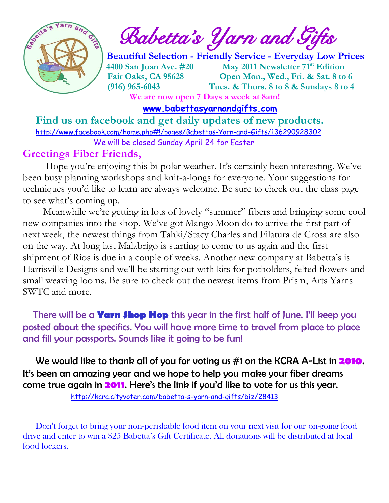

 $\int_{a}^{\frac{1}{2}} \mathbf{A} \mathbf{B}^{\frac{1}{2}}$  Babetta's Yarn and Gifts

 **Beautiful Selection - Friendly Service - Everyday Low Prices 4400 San Juan Ave. #20 May 2011 Newsletter 71st Edition Fair Oaks, CA 95628 Open Mon., Wed., Fri. & Sat. 8 to 6 (916) 965-6043 Tues. & Thurs. 8 to 8 & Sundays 8 to 4 We are now open 7 Days a week at 8am!** 

 **[www.babettasyarnandgifts.com](http://www.babettasyarnandgifts.com/)**

 **Find us on facebook and get daily updates of new products.**  <http://www.facebook.com/home.php#!/pages/Babettas-Yarn-and-Gifts/136290928302> We will be closed Sunday April 24 for Easter

#### **Greetings Fiber Friends,**

 Hope you're enjoying this bi-polar weather. It's certainly been interesting. We've been busy planning workshops and knit-a-longs for everyone. Your suggestions for techniques you'd like to learn are always welcome. Be sure to check out the class page to see what's coming up.

Meanwhile we're getting in lots of lovely "summer" fibers and bringing some cool new companies into the shop. We've got Mango Moon do to arrive the first part of next week, the newest things from Tahki/Stacy Charles and Filatura de Crosa are also on the way. At long last Malabrigo is starting to come to us again and the first shipment of Rios is due in a couple of weeks. Another new company at Babetta's is Harrisville Designs and we'll be starting out with kits for potholders, felted flowers and small weaving looms. Be sure to check out the newest items from Prism, Arts Yarns SWTC and more.

There will be a **Yarn Shop Hop** this year in the first half of June. I'll keep you posted about the specifics. You will have more time to travel from place to place and fill your passports. Sounds like it going to be fun!

 We would like to thank all of you for voting us #1 on the KCRA A-List in **2010**. It's been an amazing year and we hope to help you make your fiber dreams come true again in **2011**. Here's the link if you'd like to vote for us this year.

<http://kcra.cityvoter.com/babetta-s-yarn-and-gifts/biz/28413>

 Don't forget to bring your non-perishable food item on your next visit for our on-going food drive and enter to win a \$25 Babetta's Gift Certificate. All donations will be distributed at local food lockers.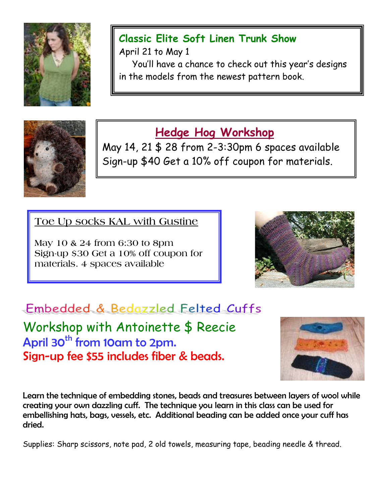

#### **Classic Elite Soft Linen Trunk Show**

April 21 to May 1

 You'll have a chance to check out this year's designs in the models from the newest pattern book.



## **Hedge Hog Workshop**

May 14, 21 \$ 28 from 2-3:30pm 6 spaces available Sign-up \$40 Get a 10% off coupon for materials.

**Toe Up socks KAL with Gustine**

**May 10 & 24 from 6:30 to 8pm Sign-up \$30 Get a 10% off coupon for materials. 4 spaces available**



# Embedded & Bedazzled Felted Cuffs

Workshop with Antoinette \$ Reecie April 30<sup>th</sup> from 10am to 2pm. Sign-up fee \$55 includes fiber & beads.



Learn the technique of embedding stones, beads and treasures between layers of wool while creating your own dazzling cuff. The technique you learn in this class can be used for embellishing hats, bags, vessels, etc. Additional beading can be added once your cuff has dried.

Supplies: Sharp scissors, note pad, 2 old towels, measuring tape, beading needle & thread.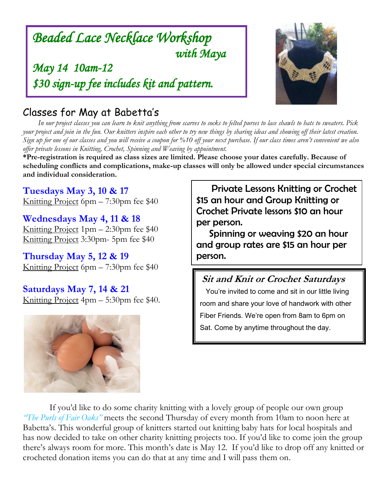### *Beaded Lace Necklace Workshop with Maya*

*May 14 10am-12 \$30 sign-up fee includes kit and pattern.* 



#### Classes for May at Babetta's

 *In our project classes you can learn to knit anything from scarves to socks to felted purses to lace shawls to hats to sweaters. Pick your project and join in the fun. Our knitters inspire each other to try new things by sharing ideas and showing off their latest creation. Sign up for one of our classes and you will receive a coupon for %10 off your next purchase. If our class times aren't convenient we also offer private lessons in Knitting, Crochet, Spinning and Weaving by appointment.*

**\*Pre-registration is required as class sizes are limited. Please choose your dates carefully. Because of scheduling conflicts and complications, make-up classes will only be allowed under special circumstances and individual consideration.**

**Tuesdays May 3, 10 & 17** Knitting Project 6pm – 7:30pm fee \$40

**Wednesdays May 4, 11 & 18** Knitting Project 1pm – 2:30pm fee \$40 Knitting Project 3:30pm- 5pm fee \$40

**Thursday May 5, 12 & 19** Knitting Project 6pm – 7:30pm fee \$40

**Saturdays May 7, 14 & 21** Knitting Project 4pm – 5:30pm fee \$40.



 Private Lessons Knitting or Crochet \$15 an hour and Group Knitting or Crochet Private lessons \$10 an hour per person.

 Spinning or weaving \$20 an hour and group rates are \$15 an hour per person.

**Sit and Knit or Crochet Saturdays**

 You're invited to come and sit in our little living room and share your love of handwork with other Fiber Friends. We're open from 8am to 6pm on Sat. Come by anytime throughout the day.

If you'd like to do some charity knitting with a lovely group of people our own group *"The Purls of Fair Oaks"* meets the second Thursday of every month from 10am to noon here at Babetta's. This wonderful group of knitters started out knitting baby hats for local hospitals and has now decided to take on other charity knitting projects too. If you'd like to come join the group there's always room for more. This month's date is May 12. If you'd like to drop off any knitted or crocheted donation items you can do that at any time and I will pass them on.